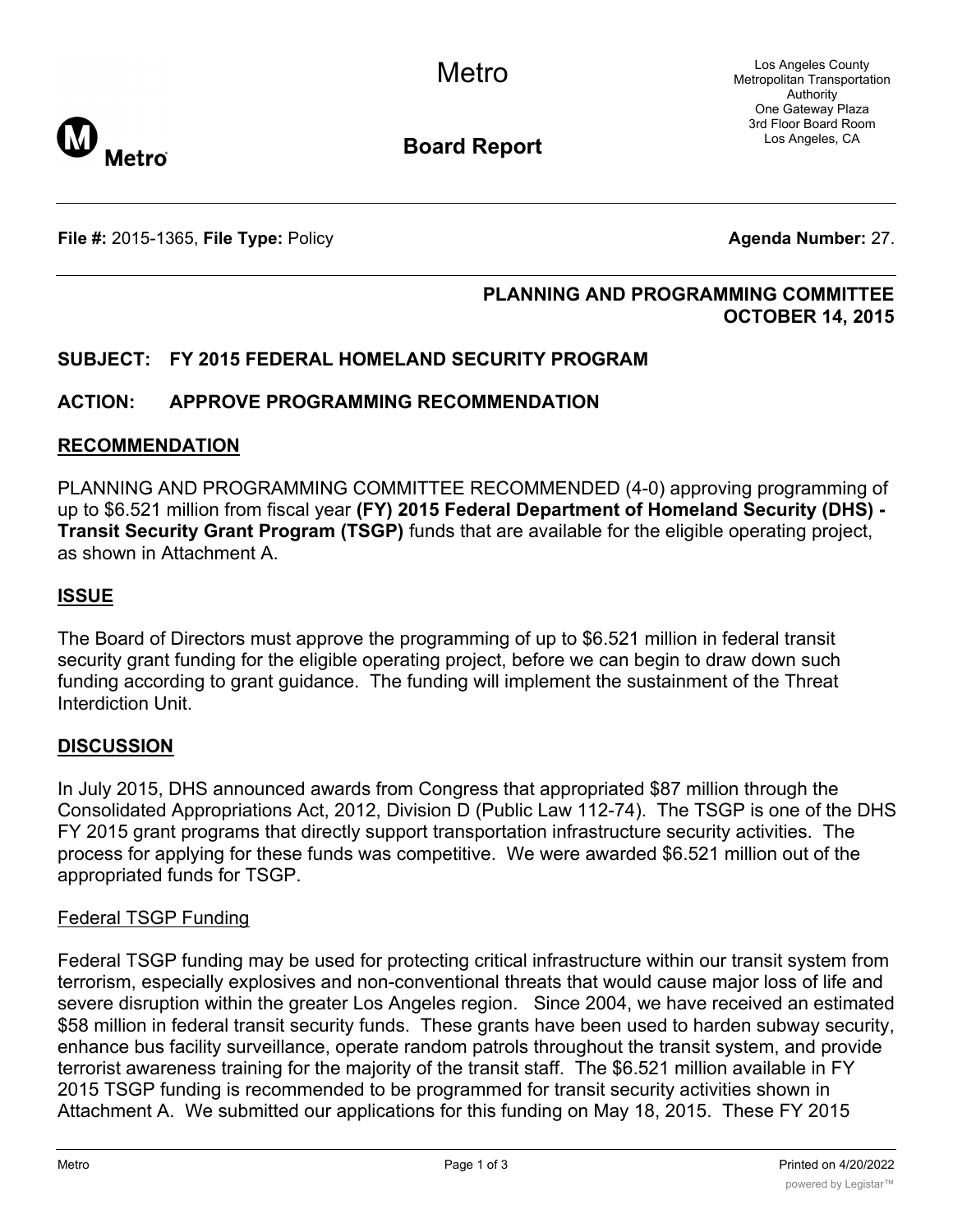Los Angeles County Metropolitan Transportation Authority One Gateway Plaza 3rd Floor Board Room Los Angeles, CA



**Board Report**

**File #:** 2015-1365, **File Type:** Policy **Agenda Number:** 27.

# **PLANNING AND PROGRAMMING COMMITTEE OCTOBER 14, 2015**

# **SUBJECT: FY 2015 FEDERAL HOMELAND SECURITY PROGRAM**

# **ACTION: APPROVE PROGRAMMING RECOMMENDATION**

# **RECOMMENDATION**

PLANNING AND PROGRAMMING COMMITTEE RECOMMENDED (4-0) approving programming of up to \$6.521 million from fiscal year **(FY) 2015 Federal Department of Homeland Security (DHS) - Transit Security Grant Program (TSGP)** funds that are available for the eligible operating project, as shown in Attachment A.

# **ISSUE**

The Board of Directors must approve the programming of up to \$6.521 million in federal transit security grant funding for the eligible operating project, before we can begin to draw down such funding according to grant guidance. The funding will implement the sustainment of the Threat Interdiction Unit.

# **DISCUSSION**

In July 2015, DHS announced awards from Congress that appropriated \$87 million through the Consolidated Appropriations Act, 2012, Division D (Public Law 112-74). The TSGP is one of the DHS FY 2015 grant programs that directly support transportation infrastructure security activities. The process for applying for these funds was competitive. We were awarded \$6.521 million out of the appropriated funds for TSGP.

# Federal TSGP Funding

Federal TSGP funding may be used for protecting critical infrastructure within our transit system from terrorism, especially explosives and non-conventional threats that would cause major loss of life and severe disruption within the greater Los Angeles region. Since 2004, we have received an estimated \$58 million in federal transit security funds. These grants have been used to harden subway security, enhance bus facility surveillance, operate random patrols throughout the transit system, and provide terrorist awareness training for the majority of the transit staff. The \$6.521 million available in FY 2015 TSGP funding is recommended to be programmed for transit security activities shown in Attachment A. We submitted our applications for this funding on May 18, 2015. These FY 2015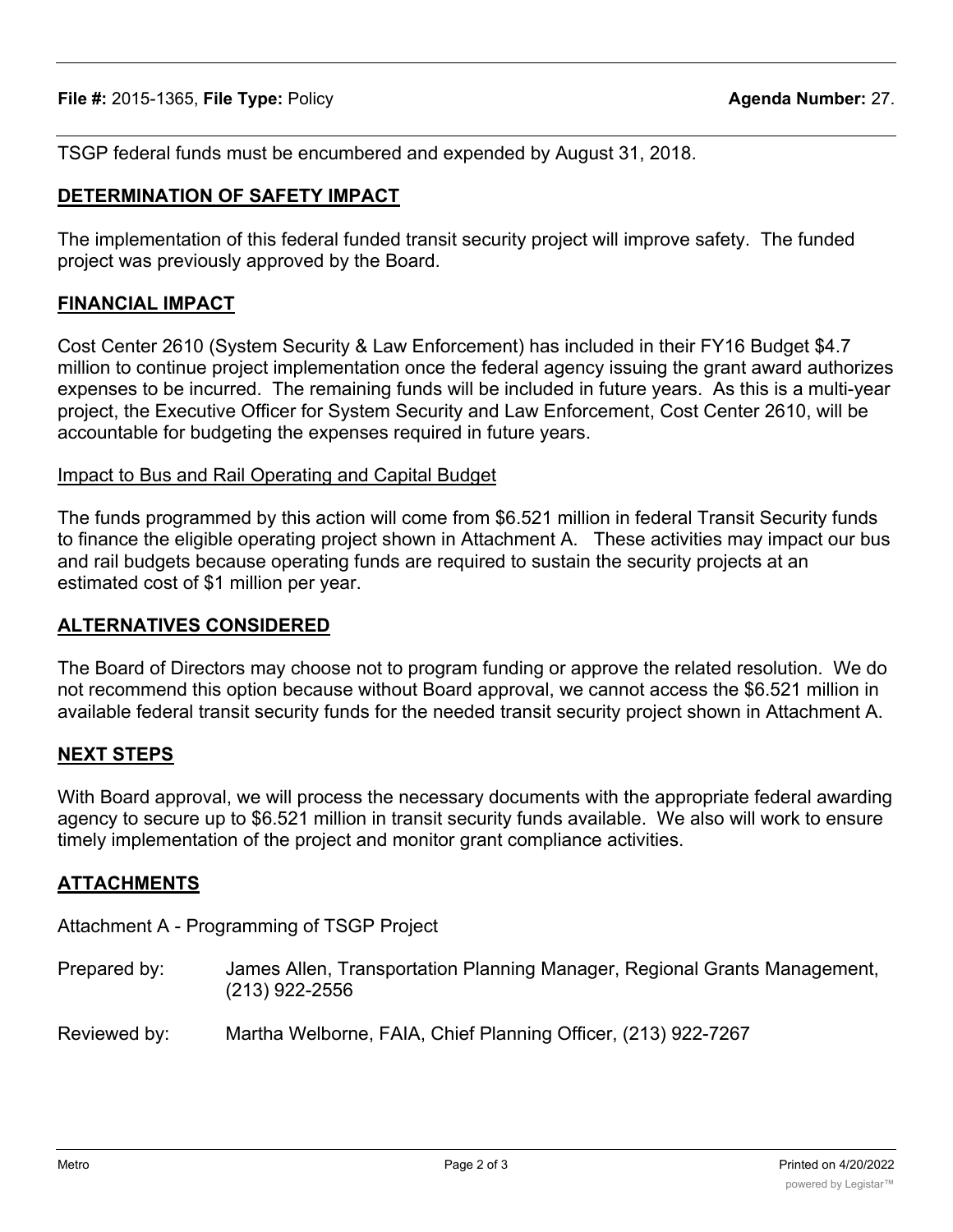TSGP federal funds must be encumbered and expended by August 31, 2018.

# **DETERMINATION OF SAFETY IMPACT**

The implementation of this federal funded transit security project will improve safety. The funded project was previously approved by the Board.

### **FINANCIAL IMPACT**

Cost Center 2610 (System Security & Law Enforcement) has included in their FY16 Budget \$4.7 million to continue project implementation once the federal agency issuing the grant award authorizes expenses to be incurred. The remaining funds will be included in future years. As this is a multi-year project, the Executive Officer for System Security and Law Enforcement, Cost Center 2610, will be accountable for budgeting the expenses required in future years.

#### Impact to Bus and Rail Operating and Capital Budget

The funds programmed by this action will come from \$6.521 million in federal Transit Security funds to finance the eligible operating project shown in Attachment A. These activities may impact our bus and rail budgets because operating funds are required to sustain the security projects at an estimated cost of \$1 million per year.

## **ALTERNATIVES CONSIDERED**

The Board of Directors may choose not to program funding or approve the related resolution. We do not recommend this option because without Board approval, we cannot access the \$6.521 million in available federal transit security funds for the needed transit security project shown in Attachment A.

# **NEXT STEPS**

With Board approval, we will process the necessary documents with the appropriate federal awarding agency to secure up to \$6.521 million in transit security funds available. We also will work to ensure timely implementation of the project and monitor grant compliance activities.

# **ATTACHMENTS**

Attachment A - Programming of TSGP Project

Prepared by: James Allen, Transportation Planning Manager, Regional Grants Management, (213) 922-2556

Reviewed by: Martha Welborne, FAIA, Chief Planning Officer, (213) 922-7267